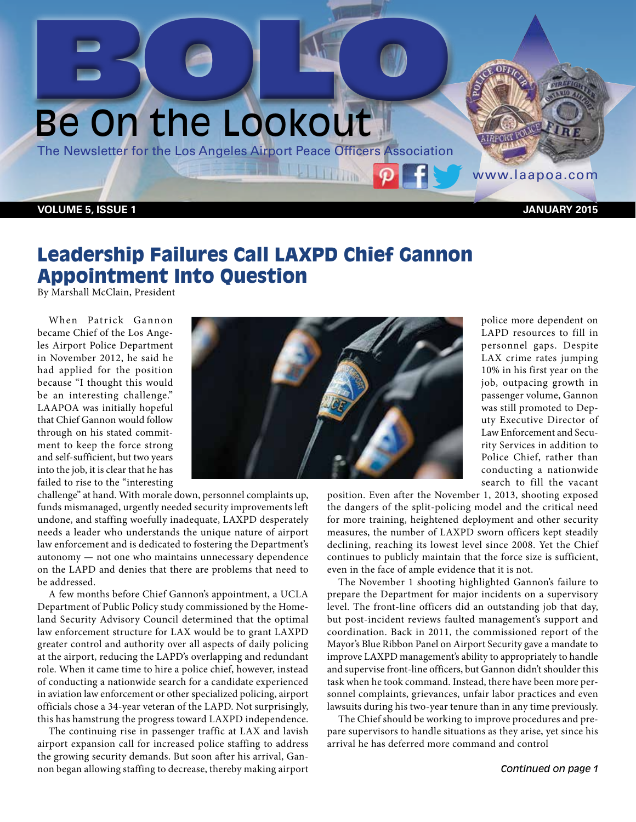# Be On the Lookout BOLO HO

The Newsletter for the Los Angeles Airport Peace Officers Association

**VOLUME 5, ISSUE 1 JANUARY 2015**

www.laapoa.com

# Leadership Failures Call LAXPD Chief Gannon Appointment Into Question

By Marshall McClain, President

When Patrick Gannon became Chief of the Los Angeles Airport Police Department in November 2012, he said he had applied for the position because "I thought this would be an interesting challenge." LAAPOA was initially hopeful that Chief Gannon would follow through on his stated commitment to keep the force strong and self-sufficient, but two years into the job, it is clear that he has failed to rise to the "interesting



**ITTIM** 

challenge" at hand. With morale down, personnel complaints up, funds mismanaged, urgently needed security improvements left undone, and staffing woefully inadequate, LAXPD desperately needs a leader who understands the unique nature of airport law enforcement and is dedicated to fostering the Department's autonomy — not one who maintains unnecessary dependence on the LAPD and denies that there are problems that need to be addressed.

A few months before Chief Gannon's appointment, a UCLA Department of Public Policy study commissioned by the Homeland Security Advisory Council determined that the optimal law enforcement structure for LAX would be to grant LAXPD greater control and authority over all aspects of daily policing at the airport, reducing the LAPD's overlapping and redundant role. When it came time to hire a police chief, however, instead of conducting a nationwide search for a candidate experienced in aviation law enforcement or other specialized policing, airport officials chose a 34-year veteran of the LAPD. Not surprisingly, this has hamstrung the progress toward LAXPD independence.

The continuing rise in passenger traffic at LAX and lavish airport expansion call for increased police staffing to address the growing security demands. But soon after his arrival, Gannon began allowing staffing to decrease, thereby making airport

police more dependent on LAPD resources to fill in personnel gaps. Despite LAX crime rates jumping 10% in his first year on the job, outpacing growth in passenger volume, Gannon was still promoted to Deputy Executive Director of Law Enforcement and Security Services in addition to Police Chief, rather than conducting a nationwide search to fill the vacant

position. Even after the November 1, 2013, shooting exposed the dangers of the split-policing model and the critical need for more training, heightened deployment and other security measures, the number of LAXPD sworn officers kept steadily declining, reaching its lowest level since 2008. Yet the Chief continues to publicly maintain that the force size is sufficient, even in the face of ample evidence that it is not.

The November 1 shooting highlighted Gannon's failure to prepare the Department for major incidents on a supervisory level. The front-line officers did an outstanding job that day, but post-incident reviews faulted management's support and coordination. Back in 2011, the commissioned report of the Mayor's Blue Ribbon Panel on Airport Security gave a mandate to improve LAXPD management's ability to appropriately to handle and supervise front-line officers, but Gannon didn't shoulder this task when he took command. Instead, there have been more personnel complaints, grievances, unfair labor practices and even lawsuits during his two-year tenure than in any time previously.

The Chief should be working to improve procedures and prepare supervisors to handle situations as they arise, yet since his arrival he has deferred more command and control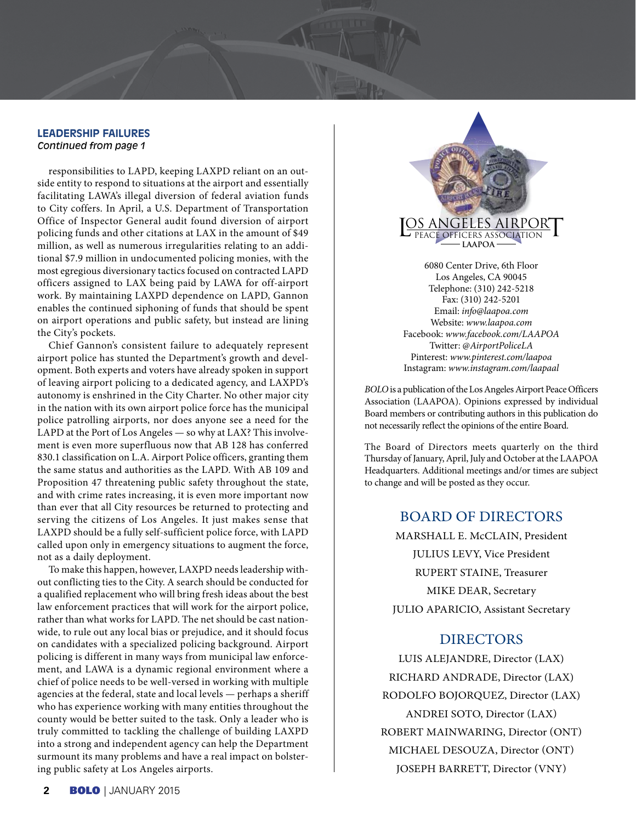#### **LEADERSHIP FAILURES** *Continued from page 1*

responsibilities to LAPD, keeping LAXPD reliant on an outside entity to respond to situations at the airport and essentially facilitating LAWA's illegal diversion of federal aviation funds to City coffers. In April, a U.S. Department of Transportation Office of Inspector General audit found diversion of airport policing funds and other citations at LAX in the amount of \$49 million, as well as numerous irregularities relating to an additional \$7.9 million in undocumented policing monies, with the most egregious diversionary tactics focused on contracted LAPD officers assigned to LAX being paid by LAWA for off-airport work. By maintaining LAXPD dependence on LAPD, Gannon enables the continued siphoning of funds that should be spent on airport operations and public safety, but instead are lining the City's pockets.

Chief Gannon's consistent failure to adequately represent airport police has stunted the Department's growth and development. Both experts and voters have already spoken in support of leaving airport policing to a dedicated agency, and LAXPD's autonomy is enshrined in the City Charter. No other major city in the nation with its own airport police force has the municipal police patrolling airports, nor does anyone see a need for the LAPD at the Port of Los Angeles — so why at LAX? This involvement is even more superfluous now that AB 128 has conferred 830.1 classification on L.A. Airport Police officers, granting them the same status and authorities as the LAPD. With AB 109 and Proposition 47 threatening public safety throughout the state, and with crime rates increasing, it is even more important now than ever that all City resources be returned to protecting and serving the citizens of Los Angeles. It just makes sense that LAXPD should be a fully self-sufficient police force, with LAPD called upon only in emergency situations to augment the force, not as a daily deployment.

To make this happen, however, LAXPD needs leadership without conflicting ties to the City. A search should be conducted for a qualified replacement who will bring fresh ideas about the best law enforcement practices that will work for the airport police, rather than what works for LAPD. The net should be cast nationwide, to rule out any local bias or prejudice, and it should focus on candidates with a specialized policing background. Airport policing is different in many ways from municipal law enforcement, and LAWA is a dynamic regional environment where a chief of police needs to be well-versed in working with multiple agencies at the federal, state and local levels — perhaps a sheriff who has experience working with many entities throughout the county would be better suited to the task. Only a leader who is truly committed to tackling the challenge of building LAXPD into a strong and independent agency can help the Department surmount its many problems and have a real impact on bolstering public safety at Los Angeles airports.

6080 Center Drive, 6th Floor Los Angeles, CA 90045 Telephone: (310) 242-5218 Fax: (310) 242-5201 Email: *info@laapoa.com* Website: *www.laapoa.com* L os Angeles Airpor PEACE OFFICERS ASSOCIATION **laapoa**

Facebook: *www.facebook.com/LAAPOA* Twitter: @*AirportPoliceLA* Pinterest: *www.pinterest.com/laapoa* Instagram: *www.instagram.com/laapaal*

*BOLO* is a publication of the Los Angeles Airport Peace Officers Association (LAAPOA). Opinions expressed by individual Board members or contributing authors in this publication do not necessarily reflect the opinions of the entire Board.

The Board of Directors meets quarterly on the third Thursday of January, April, July and October at the LAAPOA Headquarters. Additional meetings and/or times are subject to change and will be posted as they occur.

### BOARD OF DIRECTORS

MARSHALL E. McCLAIN, President JULIUS LEVY, Vice President RUPERT STAINE, Treasurer MIKE DEAR, Secretary JULIO APARICIO, Assistant Secretary

## DIRECTORS

LUIS ALEJANDRE, Director (LAX) RICHARD ANDRADE, Director (LAX) RODOLFO BOJORQUEZ, Director (LAX) ANDREI SOTO, Director (LAX) ROBERT MAINWARING, Director (ONT) MICHAEL DESOUZA, Director (ONT) JOSEPH BARRETT, Director (VNY)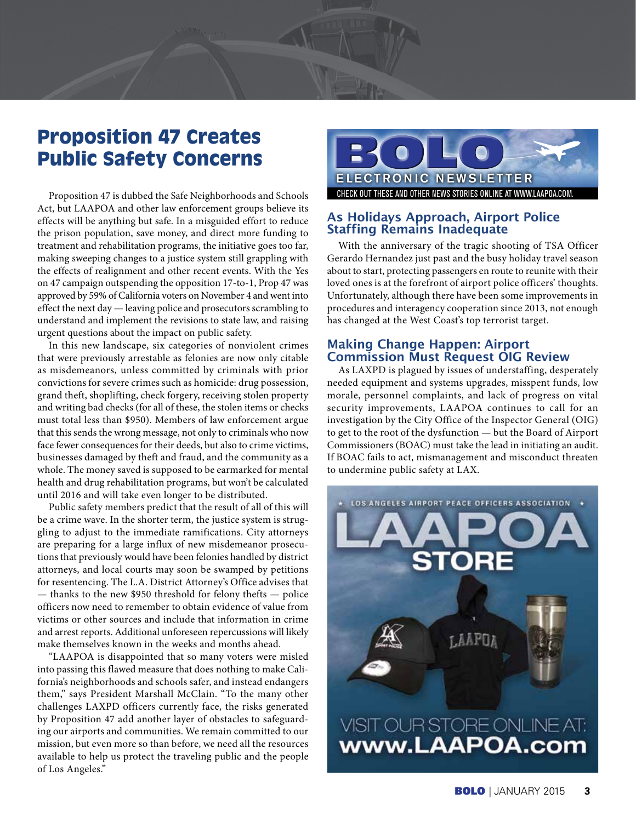# Proposition 47 Creates Public Safety Concerns

Proposition 47 is dubbed the Safe Neighborhoods and Schools Act, but LAAPOA and other law enforcement groups believe its effects will be anything but safe. In a misguided effort to reduce the prison population, save money, and direct more funding to treatment and rehabilitation programs, the initiative goes too far, making sweeping changes to a justice system still grappling with the effects of realignment and other recent events. With the Yes on 47 campaign outspending the opposition 17-to-1, Prop 47 was approved by 59% of California voters on November 4 and went into effect the next day — leaving police and prosecutors scrambling to understand and implement the revisions to state law, and raising urgent questions about the impact on public safety.

In this new landscape, six categories of nonviolent crimes that were previously arrestable as felonies are now only citable as misdemeanors, unless committed by criminals with prior convictions for severe crimes such as homicide: drug possession, grand theft, shoplifting, check forgery, receiving stolen property and writing bad checks (for all of these, the stolen items or checks must total less than \$950). Members of law enforcement argue that this sends the wrong message, not only to criminals who now face fewer consequences for their deeds, but also to crime victims, businesses damaged by theft and fraud, and the community as a whole. The money saved is supposed to be earmarked for mental health and drug rehabilitation programs, but won't be calculated until 2016 and will take even longer to be distributed.

Public safety members predict that the result of all of this will be a crime wave. In the shorter term, the justice system is struggling to adjust to the immediate ramifications. City attorneys are preparing for a large influx of new misdemeanor prosecutions that previously would have been felonies handled by district attorneys, and local courts may soon be swamped by petitions for resentencing. The L.A. District Attorney's Office advises that — thanks to the new \$950 threshold for felony thefts — police officers now need to remember to obtain evidence of value from victims or other sources and include that information in crime and arrest reports. Additional unforeseen repercussions will likely make themselves known in the weeks and months ahead.

"LAAPOA is disappointed that so many voters were misled into passing this flawed measure that does nothing to make California's neighborhoods and schools safer, and instead endangers them," says President Marshall McClain. "To the many other challenges LAXPD officers currently face, the risks generated by Proposition 47 add another layer of obstacles to safeguarding our airports and communities. We remain committed to our mission, but even more so than before, we need all the resources available to help us protect the traveling public and the people of Los Angeles."



#### **As Holidays Approach, Airport Police Staffing Remains Inadequate**

With the anniversary of the tragic shooting of TSA Officer Gerardo Hernandez just past and the busy holiday travel season about to start, protecting passengers en route to reunite with their loved ones is at the forefront of airport police officers' thoughts. Unfortunately, although there have been some improvements in procedures and interagency cooperation since 2013, not enough has changed at the West Coast's top terrorist target.

#### **Making Change Happen: Airport Commission Must Request OIG Review**

As LAXPD is plagued by issues of understaffing, desperately needed equipment and systems upgrades, misspent funds, low morale, personnel complaints, and lack of progress on vital security improvements, LAAPOA continues to call for an investigation by the City Office of the Inspector General (OIG) to get to the root of the dysfunction — but the Board of Airport Commissioners (BOAC) must take the lead in initiating an audit. If BOAC fails to act, mismanagement and misconduct threaten to undermine public safety at LAX.